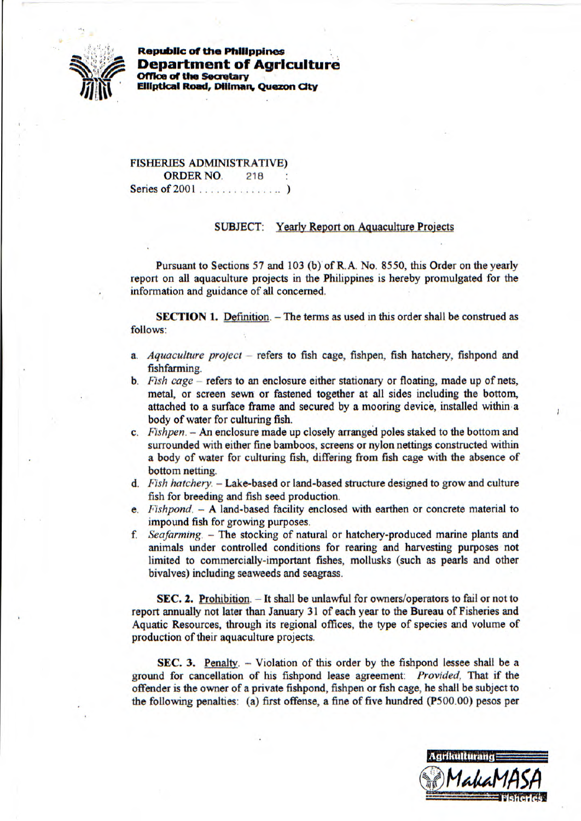

Republic of **the Philippines Department of Agriculture Coffice of the Secretary Coffice of the Secretary** <br> **Elliptical Road, Diliman** *II* **III Elliptical Road, Diliman, Quezon City** 

> FISHERIES ADMINISTRATIVE) ORDER NO. 218 Series of 2001 ...............)

## SUBJECT: Yearly Report on Aguaculture Projects

Pursuant to Sections *57* and 103 (b) of R. A. No. *8550,* this Order on the yearly report on all aquaculture projects in the Philippines is hereby promulgated for the information and guidance of all concerned.

**SECTION 1.** Definition. - The terms as used in this order shall be construed as follows:

- *a. Aquaculture project* refers to fish cage, fishpen, fish hatchery, fishpond and fishfarming.
- *b. Fish cage* refers to an enclosure either stationary or floating, made up of nets, metal, or screen sewn or fastened together at all sides including the bottom, attached to a surface frame and secured by a mooring device, installed within a body of water for culturing fish.
- *c. Fishpen.* An enclosure made up closely arranged poles staked to the bottom and surrounded with either fine bamboos, screens or nylon nettings constructed within a body of water for culturing fish, differing from fish cage with the absence of bottom netting.
- *d. Fish hatchery.*  Lake-based or land-based structure designed to grow and culture fish for breeding and fish seed production.
- *e. Fishpond.* A land-based facility enclosed with earthen or concrete material to impound fish for growing purposes.
- *f. Seafarming.* The stocking of natural or hatchery-produced marine plants and animals under controlled conditions for rearing and harvesting purposes not limited to commercially-important fishes, mollusks (such as pearls and other bivalves) including seaweeds and seagrass.

SEC. 2. Prohibition. - It shall be unlawful for owners/operators to fail or not to report annually not later than January 31 of each year to the Bureau of Fisheries and Aquatic Resources, through its regional offices, the type of species and volume of production of their aquaculture projects.

SEC. 3. Penalty.  $-$  Violation of this order by the fishpond lessee shall be a ground for cancellation of his fishpond lease agreement: *Provided,* That if the offender is the owner of a private fishpond, fishpen or fish cage, he shall be subject to the following penalties: (a) first offense, a fine of five hundred *(P5*00,00) pesos per